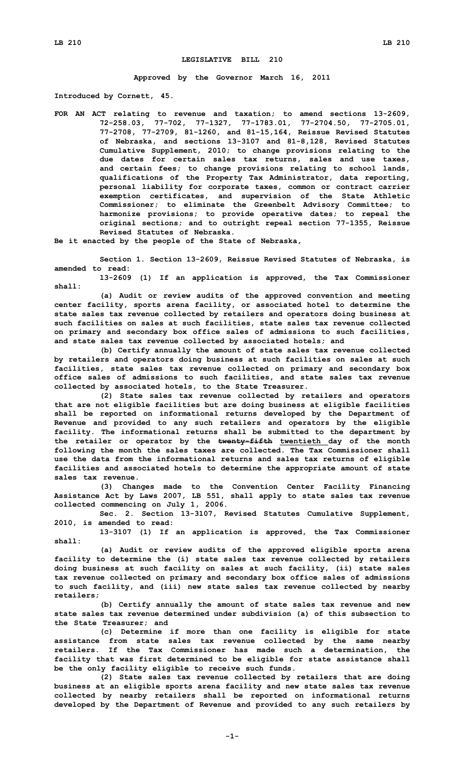## **LEGISLATIVE BILL 210**

**Approved by the Governor March 16, 2011**

**Introduced by Cornett, 45.**

**FOR AN ACT relating to revenue and taxation; to amend sections 13-2609, 72-258.03, 77-702, 77-1327, 77-1783.01, 77-2704.50, 77-2705.01, 77-2708, 77-2709, 81-1260, and 81-15,164, Reissue Revised Statutes of Nebraska, and sections 13-3107 and 81-8,128, Revised Statutes Cumulative Supplement, 2010; to change provisions relating to the due dates for certain sales tax returns, sales and use taxes, and certain fees; to change provisions relating to school lands, qualifications of the Property Tax Administrator, data reporting, personal liability for corporate taxes, common or contract carrier exemption certificates, and supervision of the State Athletic Commissioner; to eliminate the Greenbelt Advisory Committee; to harmonize provisions; to provide operative dates; to repeal the original sections; and to outright repeal section 77-1355, Reissue Revised Statutes of Nebraska.**

**Be it enacted by the people of the State of Nebraska,**

**Section 1. Section 13-2609, Reissue Revised Statutes of Nebraska, is amended to read:**

**13-2609 (1) If an application is approved, the Tax Commissioner shall:**

**(a) Audit or review audits of the approved convention and meeting center facility, sports arena facility, or associated hotel to determine the state sales tax revenue collected by retailers and operators doing business at such facilities on sales at such facilities, state sales tax revenue collected on primary and secondary box office sales of admissions to such facilities, and state sales tax revenue collected by associated hotels; and**

**(b) Certify annually the amount of state sales tax revenue collected by retailers and operators doing business at such facilities on sales at such facilities, state sales tax revenue collected on primary and secondary box office sales of admissions to such facilities, and state sales tax revenue collected by associated hotels, to the State Treasurer.**

**(2) State sales tax revenue collected by retailers and operators that are not eligible facilities but are doing business at eligible facilities shall be reported on informational returns developed by the Department of Revenue and provided to any such retailers and operators by the eligible facility. The informational returns shall be submitted to the department by the retailer or operator by the twenty-fifth twentieth day of the month following the month the sales taxes are collected. The Tax Commissioner shall use the data from the informational returns and sales tax returns of eligible facilities and associated hotels to determine the appropriate amount of state sales tax revenue.**

**(3) Changes made to the Convention Center Facility Financing Assistance Act by Laws 2007, LB 551, shall apply to state sales tax revenue collected commencing on July 1, 2006.**

**Sec. 2. Section 13-3107, Revised Statutes Cumulative Supplement, 2010, is amended to read:**

**13-3107 (1) If an application is approved, the Tax Commissioner shall:**

**(a) Audit or review audits of the approved eligible sports arena facility to determine the (i) state sales tax revenue collected by retailers doing business at such facility on sales at such facility, (ii) state sales tax revenue collected on primary and secondary box office sales of admissions to such facility, and (iii) new state sales tax revenue collected by nearby retailers;**

**(b) Certify annually the amount of state sales tax revenue and new state sales tax revenue determined under subdivision (a) of this subsection to the State Treasurer; and**

**(c) Determine if more than one facility is eligible for state assistance from state sales tax revenue collected by the same nearby retailers. If the Tax Commissioner has made such <sup>a</sup> determination, the facility that was first determined to be eligible for state assistance shall be the only facility eligible to receive such funds.**

**(2) State sales tax revenue collected by retailers that are doing business at an eligible sports arena facility and new state sales tax revenue collected by nearby retailers shall be reported on informational returns developed by the Department of Revenue and provided to any such retailers by**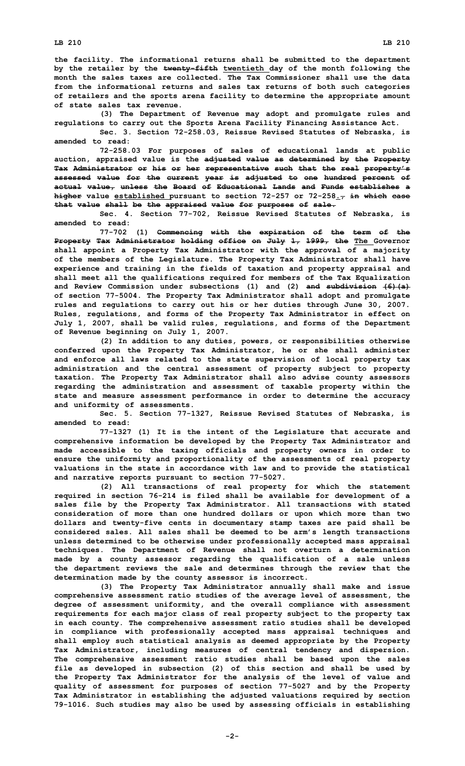**the facility. The informational returns shall be submitted to the department by the retailer by the twenty-fifth twentieth day of the month following the month the sales taxes are collected. The Tax Commissioner shall use the data from the informational returns and sales tax returns of both such categories of retailers and the sports arena facility to determine the appropriate amount of state sales tax revenue.**

**(3) The Department of Revenue may adopt and promulgate rules and regulations to carry out the Sports Arena Facility Financing Assistance Act.**

**Sec. 3. Section 72-258.03, Reissue Revised Statutes of Nebraska, is amended to read:**

**72-258.03 For purposes of sales of educational lands at public auction, appraised value is the adjusted value as determined by the Property Tax Administrator or his or her representative such that the real property's assessed value for the current year is adjusted to one hundred percent of actual value, unless the Board of Educational Lands and Funds establishes <sup>a</sup> higher value established pursuant to section 72-257 or 72-258., in which case that value shall be the appraised value for purposes of sale.**

**Sec. 4. Section 77-702, Reissue Revised Statutes of Nebraska, is amended to read:**

**77-702 (1) Commencing with the expiration of the term of the Property Tax Administrator holding office on July 1, 1999, the The Governor shall appoint <sup>a</sup> Property Tax Administrator with the approval of <sup>a</sup> majority of the members of the Legislature. The Property Tax Administrator shall have experience and training in the fields of taxation and property appraisal and shall meet all the qualifications required for members of the Tax Equalization and Review Commission under subsections (1) and (2) and subdivision (6)(a) of section 77-5004. The Property Tax Administrator shall adopt and promulgate rules and regulations to carry out his or her duties through June 30, 2007. Rules, regulations, and forms of the Property Tax Administrator in effect on July 1, 2007, shall be valid rules, regulations, and forms of the Department of Revenue beginning on July 1, 2007.**

**(2) In addition to any duties, powers, or responsibilities otherwise conferred upon the Property Tax Administrator, he or she shall administer and enforce all laws related to the state supervision of local property tax administration and the central assessment of property subject to property taxation. The Property Tax Administrator shall also advise county assessors regarding the administration and assessment of taxable property within the state and measure assessment performance in order to determine the accuracy and uniformity of assessments.**

**Sec. 5. Section 77-1327, Reissue Revised Statutes of Nebraska, is amended to read:**

**77-1327 (1) It is the intent of the Legislature that accurate and comprehensive information be developed by the Property Tax Administrator and made accessible to the taxing officials and property owners in order to ensure the uniformity and proportionality of the assessments of real property valuations in the state in accordance with law and to provide the statistical and narrative reports pursuant to section 77-5027.**

**(2) All transactions of real property for which the statement required in section 76-214 is filed shall be available for development of <sup>a</sup> sales file by the Property Tax Administrator. All transactions with stated consideration of more than one hundred dollars or upon which more than two dollars and twenty-five cents in documentary stamp taxes are paid shall be considered sales. All sales shall be deemed to be arm's length transactions unless determined to be otherwise under professionally accepted mass appraisal techniques. The Department of Revenue shall not overturn <sup>a</sup> determination made by <sup>a</sup> county assessor regarding the qualification of <sup>a</sup> sale unless the department reviews the sale and determines through the review that the determination made by the county assessor is incorrect.**

**(3) The Property Tax Administrator annually shall make and issue comprehensive assessment ratio studies of the average level of assessment, the degree of assessment uniformity, and the overall compliance with assessment requirements for each major class of real property subject to the property tax in each county. The comprehensive assessment ratio studies shall be developed in compliance with professionally accepted mass appraisal techniques and shall employ such statistical analysis as deemed appropriate by the Property Tax Administrator, including measures of central tendency and dispersion. The comprehensive assessment ratio studies shall be based upon the sales file as developed in subsection (2) of this section and shall be used by the Property Tax Administrator for the analysis of the level of value and quality of assessment for purposes of section 77-5027 and by the Property Tax Administrator in establishing the adjusted valuations required by section 79-1016. Such studies may also be used by assessing officials in establishing**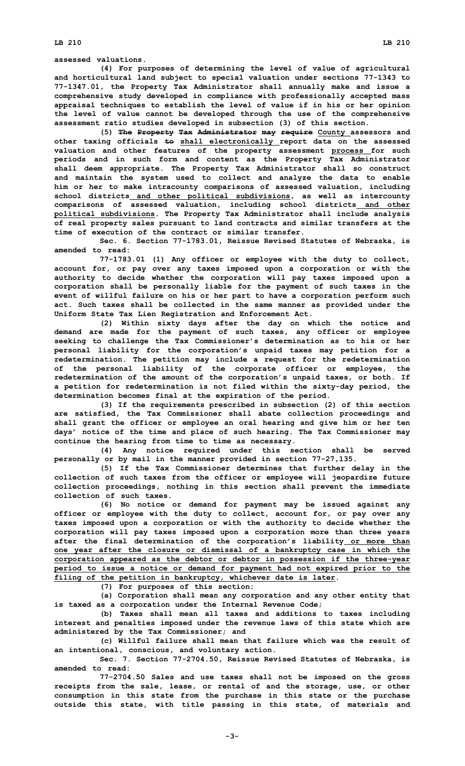**assessed valuations.**

**(4) For purposes of determining the level of value of agricultural and horticultural land subject to special valuation under sections 77-1343 to 77-1347.01, the Property Tax Administrator shall annually make and issue <sup>a</sup> comprehensive study developed in compliance with professionally accepted mass appraisal techniques to establish the level of value if in his or her opinion the level of value cannot be developed through the use of the comprehensive assessment ratio studies developed in subsection (3) of this section.**

**(5) The Property Tax Administrator may require County assessors and other taxing officials to shall electronically report data on the assessed valuation and other features of the property assessment process for such periods and in such form and content as the Property Tax Administrator shall deem appropriate. The Property Tax Administrator shall so construct and maintain the system used to collect and analyze the data to enable him or her to make intracounty comparisons of assessed valuation, including school districts and other political subdivisions, as well as intercounty comparisons of assessed valuation, including school districts and other political subdivisions. The Property Tax Administrator shall include analysis of real property sales pursuant to land contracts and similar transfers at the time of execution of the contract or similar transfer.**

**Sec. 6. Section 77-1783.01, Reissue Revised Statutes of Nebraska, is amended to read:**

**77-1783.01 (1) Any officer or employee with the duty to collect, account for, or pay over any taxes imposed upon <sup>a</sup> corporation or with the authority to decide whether the corporation will pay taxes imposed upon <sup>a</sup> corporation shall be personally liable for the payment of such taxes in the event of willful failure on his or her part to have <sup>a</sup> corporation perform such act. Such taxes shall be collected in the same manner as provided under the Uniform State Tax Lien Registration and Enforcement Act.**

**(2) Within sixty days after the day on which the notice and demand are made for the payment of such taxes, any officer or employee seeking to challenge the Tax Commissioner's determination as to his or her personal liability for the corporation's unpaid taxes may petition for <sup>a</sup> redetermination. The petition may include <sup>a</sup> request for the redetermination of the personal liability of the corporate officer or employee, the redetermination of the amount of the corporation's unpaid taxes, or both. If <sup>a</sup> petition for redetermination is not filed within the sixty-day period, the determination becomes final at the expiration of the period.**

**(3) If the requirements prescribed in subsection (2) of this section are satisfied, the Tax Commissioner shall abate collection proceedings and shall grant the officer or employee an oral hearing and give him or her ten days' notice of the time and place of such hearing. The Tax Commissioner may continue the hearing from time to time as necessary.**

**(4) Any notice required under this section shall be served personally or by mail in the manner provided in section 77-27,135.**

**(5) If the Tax Commissioner determines that further delay in the collection of such taxes from the officer or employee will jeopardize future collection proceedings, nothing in this section shall prevent the immediate collection of such taxes.**

**(6) No notice or demand for payment may be issued against any officer or employee with the duty to collect, account for, or pay over any taxes imposed upon <sup>a</sup> corporation or with the authority to decide whether the corporation will pay taxes imposed upon <sup>a</sup> corporation more than three years after the final determination of the corporation's liability or more than one year after the closure or dismissal of <sup>a</sup> bankruptcy case in which the corporation appeared as the debtor or debtor in possession if the three-year period to issue <sup>a</sup> notice or demand for payment had not expired prior to the filing of the petition in bankruptcy, whichever date is later.**

**(7) For purposes of this section:**

**(a) Corporation shall mean any corporation and any other entity that is taxed as <sup>a</sup> corporation under the Internal Revenue Code;**

**(b) Taxes shall mean all taxes and additions to taxes including interest and penalties imposed under the revenue laws of this state which are administered by the Tax Commissioner; and**

**(c) Willful failure shall mean that failure which was the result of an intentional, conscious, and voluntary action.**

**Sec. 7. Section 77-2704.50, Reissue Revised Statutes of Nebraska, is amended to read:**

**77-2704.50 Sales and use taxes shall not be imposed on the gross receipts from the sale, lease, or rental of and the storage, use, or other consumption in this state from the purchase in this state or the purchase outside this state, with title passing in this state, of materials and**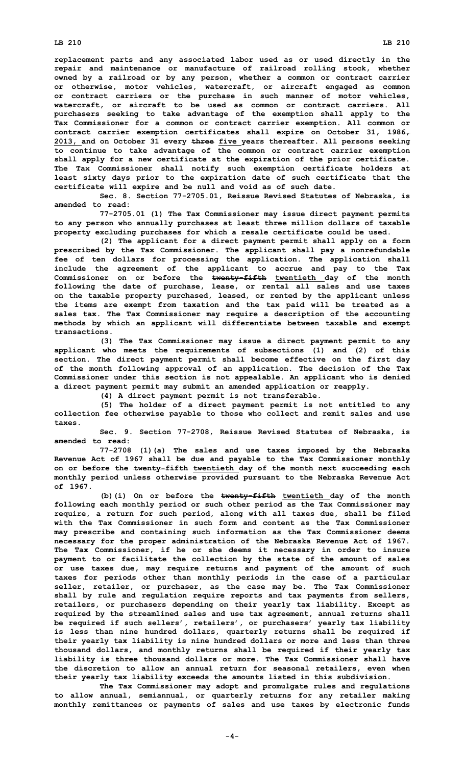**replacement parts and any associated labor used as or used directly in the repair and maintenance or manufacture of railroad rolling stock, whether owned by <sup>a</sup> railroad or by any person, whether <sup>a</sup> common or contract carrier or otherwise, motor vehicles, watercraft, or aircraft engaged as common or contract carriers or the purchase in such manner of motor vehicles, watercraft, or aircraft to be used as common or contract carriers. All purchasers seeking to take advantage of the exemption shall apply to the Tax Commissioner for <sup>a</sup> common or contract carrier exemption. All common or contract carrier exemption certificates shall expire on October 31, 1986, 2013, and on October 31 every three five years thereafter. All persons seeking to continue to take advantage of the common or contract carrier exemption shall apply for <sup>a</sup> new certificate at the expiration of the prior certificate. The Tax Commissioner shall notify such exemption certificate holders at least sixty days prior to the expiration date of such certificate that the certificate will expire and be null and void as of such date.**

**Sec. 8. Section 77-2705.01, Reissue Revised Statutes of Nebraska, is amended to read:**

**77-2705.01 (1) The Tax Commissioner may issue direct payment permits to any person who annually purchases at least three million dollars of taxable property excluding purchases for which <sup>a</sup> resale certificate could be used.**

**(2) The applicant for <sup>a</sup> direct payment permit shall apply on <sup>a</sup> form prescribed by the Tax Commissioner. The applicant shall pay <sup>a</sup> nonrefundable fee of ten dollars for processing the application. The application shall include the agreement of the applicant to accrue and pay to the Tax Commissioner on or before the twenty-fifth twentieth day of the month following the date of purchase, lease, or rental all sales and use taxes on the taxable property purchased, leased, or rented by the applicant unless the items are exempt from taxation and the tax paid will be treated as <sup>a</sup> sales tax. The Tax Commissioner may require <sup>a</sup> description of the accounting methods by which an applicant will differentiate between taxable and exempt transactions.**

**(3) The Tax Commissioner may issue <sup>a</sup> direct payment permit to any applicant who meets the requirements of subsections (1) and (2) of this section. The direct payment permit shall become effective on the first day of the month following approval of an application. The decision of the Tax Commissioner under this section is not appealable. An applicant who is denied <sup>a</sup> direct payment permit may submit an amended application or reapply.**

**(4) <sup>A</sup> direct payment permit is not transferable.**

**(5) The holder of <sup>a</sup> direct payment permit is not entitled to any collection fee otherwise payable to those who collect and remit sales and use taxes.**

**Sec. 9. Section 77-2708, Reissue Revised Statutes of Nebraska, is amended to read:**

**77-2708 (1)(a) The sales and use taxes imposed by the Nebraska Revenue Act of 1967 shall be due and payable to the Tax Commissioner monthly on or before the twenty-fifth twentieth day of the month next succeeding each monthly period unless otherwise provided pursuant to the Nebraska Revenue Act of 1967.**

**(b)(i) On or before the twenty-fifth twentieth day of the month following each monthly period or such other period as the Tax Commissioner may require, <sup>a</sup> return for such period, along with all taxes due, shall be filed with the Tax Commissioner in such form and content as the Tax Commissioner may prescribe and containing such information as the Tax Commissioner deems necessary for the proper administration of the Nebraska Revenue Act of 1967. The Tax Commissioner, if he or she deems it necessary in order to insure payment to or facilitate the collection by the state of the amount of sales or use taxes due, may require returns and payment of the amount of such taxes for periods other than monthly periods in the case of <sup>a</sup> particular seller, retailer, or purchaser, as the case may be. The Tax Commissioner shall by rule and regulation require reports and tax payments from sellers, retailers, or purchasers depending on their yearly tax liability. Except as required by the streamlined sales and use tax agreement, annual returns shall be required if such sellers', retailers', or purchasers' yearly tax liability is less than nine hundred dollars, quarterly returns shall be required if their yearly tax liability is nine hundred dollars or more and less than three thousand dollars, and monthly returns shall be required if their yearly tax liability is three thousand dollars or more. The Tax Commissioner shall have the discretion to allow an annual return for seasonal retailers, even when their yearly tax liability exceeds the amounts listed in this subdivision.**

**The Tax Commissioner may adopt and promulgate rules and regulations to allow annual, semiannual, or quarterly returns for any retailer making monthly remittances or payments of sales and use taxes by electronic funds**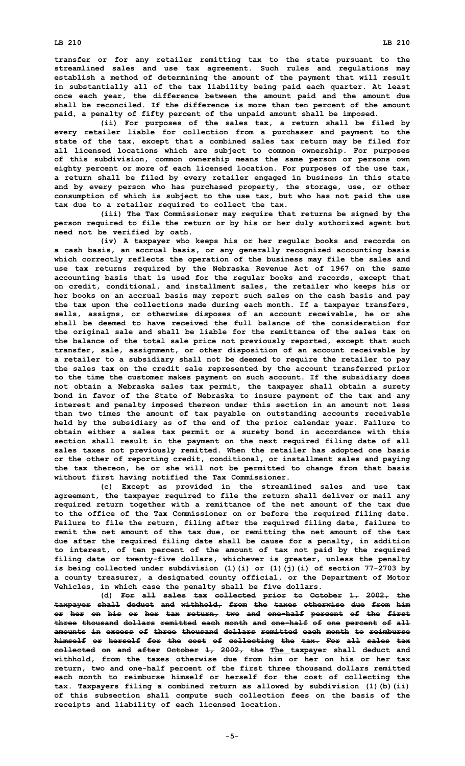**transfer or for any retailer remitting tax to the state pursuant to the streamlined sales and use tax agreement. Such rules and regulations may establish <sup>a</sup> method of determining the amount of the payment that will result in substantially all of the tax liability being paid each quarter. At least once each year, the difference between the amount paid and the amount due shall be reconciled. If the difference is more than ten percent of the amount paid, <sup>a</sup> penalty of fifty percent of the unpaid amount shall be imposed.**

**(ii) For purposes of the sales tax, <sup>a</sup> return shall be filed by every retailer liable for collection from <sup>a</sup> purchaser and payment to the state of the tax, except that <sup>a</sup> combined sales tax return may be filed for all licensed locations which are subject to common ownership. For purposes of this subdivision, common ownership means the same person or persons own eighty percent or more of each licensed location. For purposes of the use tax, <sup>a</sup> return shall be filed by every retailer engaged in business in this state and by every person who has purchased property, the storage, use, or other consumption of which is subject to the use tax, but who has not paid the use tax due to <sup>a</sup> retailer required to collect the tax.**

**(iii) The Tax Commissioner may require that returns be signed by the person required to file the return or by his or her duly authorized agent but need not be verified by oath.**

**(iv) <sup>A</sup> taxpayer who keeps his or her regular books and records on <sup>a</sup> cash basis, an accrual basis, or any generally recognized accounting basis which correctly reflects the operation of the business may file the sales and use tax returns required by the Nebraska Revenue Act of 1967 on the same accounting basis that is used for the regular books and records, except that on credit, conditional, and installment sales, the retailer who keeps his or her books on an accrual basis may report such sales on the cash basis and pay the tax upon the collections made during each month. If <sup>a</sup> taxpayer transfers, sells, assigns, or otherwise disposes of an account receivable, he or she shall be deemed to have received the full balance of the consideration for the original sale and shall be liable for the remittance of the sales tax on the balance of the total sale price not previously reported, except that such transfer, sale, assignment, or other disposition of an account receivable by <sup>a</sup> retailer to <sup>a</sup> subsidiary shall not be deemed to require the retailer to pay the sales tax on the credit sale represented by the account transferred prior to the time the customer makes payment on such account. If the subsidiary does not obtain <sup>a</sup> Nebraska sales tax permit, the taxpayer shall obtain <sup>a</sup> surety bond in favor of the State of Nebraska to insure payment of the tax and any interest and penalty imposed thereon under this section in an amount not less than two times the amount of tax payable on outstanding accounts receivable held by the subsidiary as of the end of the prior calendar year. Failure to obtain either <sup>a</sup> sales tax permit or <sup>a</sup> surety bond in accordance with this section shall result in the payment on the next required filing date of all sales taxes not previously remitted. When the retailer has adopted one basis or the other of reporting credit, conditional, or installment sales and paying the tax thereon, he or she will not be permitted to change from that basis without first having notified the Tax Commissioner.**

**(c) Except as provided in the streamlined sales and use tax agreement, the taxpayer required to file the return shall deliver or mail any required return together with <sup>a</sup> remittance of the net amount of the tax due to the office of the Tax Commissioner on or before the required filing date. Failure to file the return, filing after the required filing date, failure to remit the net amount of the tax due, or remitting the net amount of the tax due after the required filing date shall be cause for <sup>a</sup> penalty, in addition to interest, of ten percent of the amount of tax not paid by the required filing date or twenty-five dollars, whichever is greater, unless the penalty is being collected under subdivision (1)(i) or (1)(j)(i) of section 77-2703 by <sup>a</sup> county treasurer, <sup>a</sup> designated county official, or the Department of Motor Vehicles, in which case the penalty shall be five dollars.**

**(d) For all sales tax collected prior to October 1, 2002, the taxpayer shall deduct and withhold, from the taxes otherwise due from him or her on his or her tax return, two and one-half percent of the first three thousand dollars remitted each month and one-half of one percent of all amounts in excess of three thousand dollars remitted each month to reimburse himself or herself for the cost of collecting the tax. For all sales tax collected on and after October 1, 2002, the The taxpayer shall deduct and withhold, from the taxes otherwise due from him or her on his or her tax return, two and one-half percent of the first three thousand dollars remitted each month to reimburse himself or herself for the cost of collecting the tax. Taxpayers filing <sup>a</sup> combined return as allowed by subdivision (1)(b)(ii) of this subsection shall compute such collection fees on the basis of the receipts and liability of each licensed location.**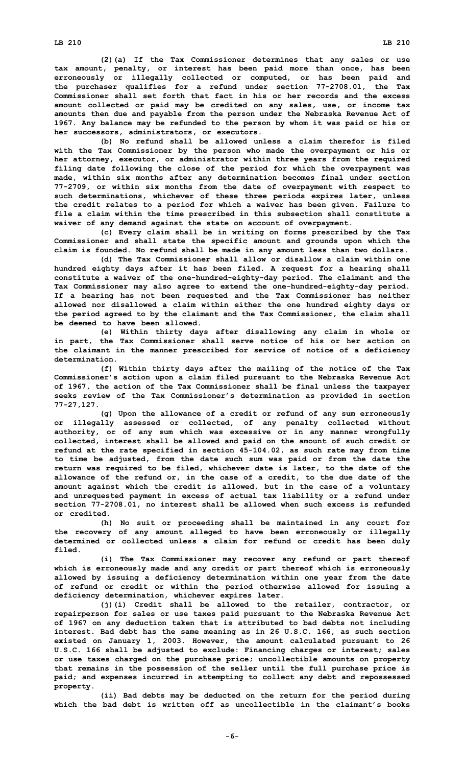**(2)(a) If the Tax Commissioner determines that any sales or use tax amount, penalty, or interest has been paid more than once, has been erroneously or illegally collected or computed, or has been paid and the purchaser qualifies for <sup>a</sup> refund under section 77-2708.01, the Tax Commissioner shall set forth that fact in his or her records and the excess amount collected or paid may be credited on any sales, use, or income tax amounts then due and payable from the person under the Nebraska Revenue Act of 1967. Any balance may be refunded to the person by whom it was paid or his or her successors, administrators, or executors.**

**(b) No refund shall be allowed unless <sup>a</sup> claim therefor is filed with the Tax Commissioner by the person who made the overpayment or his or her attorney, executor, or administrator within three years from the required filing date following the close of the period for which the overpayment was made, within six months after any determination becomes final under section 77-2709, or within six months from the date of overpayment with respect to such determinations, whichever of these three periods expires later, unless the credit relates to <sup>a</sup> period for which <sup>a</sup> waiver has been given. Failure to file <sup>a</sup> claim within the time prescribed in this subsection shall constitute <sup>a</sup> waiver of any demand against the state on account of overpayment.**

**(c) Every claim shall be in writing on forms prescribed by the Tax Commissioner and shall state the specific amount and grounds upon which the claim is founded. No refund shall be made in any amount less than two dollars.**

**(d) The Tax Commissioner shall allow or disallow <sup>a</sup> claim within one hundred eighty days after it has been filed. A request for <sup>a</sup> hearing shall constitute <sup>a</sup> waiver of the one-hundred-eighty-day period. The claimant and the Tax Commissioner may also agree to extend the one-hundred-eighty-day period. If <sup>a</sup> hearing has not been requested and the Tax Commissioner has neither allowed nor disallowed <sup>a</sup> claim within either the one hundred eighty days or the period agreed to by the claimant and the Tax Commissioner, the claim shall be deemed to have been allowed.**

**(e) Within thirty days after disallowing any claim in whole or in part, the Tax Commissioner shall serve notice of his or her action on the claimant in the manner prescribed for service of notice of <sup>a</sup> deficiency determination.**

**(f) Within thirty days after the mailing of the notice of the Tax Commissioner's action upon <sup>a</sup> claim filed pursuant to the Nebraska Revenue Act of 1967, the action of the Tax Commissioner shall be final unless the taxpayer seeks review of the Tax Commissioner's determination as provided in section 77-27,127.**

**(g) Upon the allowance of <sup>a</sup> credit or refund of any sum erroneously or illegally assessed or collected, of any penalty collected without authority, or of any sum which was excessive or in any manner wrongfully collected, interest shall be allowed and paid on the amount of such credit or refund at the rate specified in section 45-104.02, as such rate may from time to time be adjusted, from the date such sum was paid or from the date the return was required to be filed, whichever date is later, to the date of the allowance of the refund or, in the case of <sup>a</sup> credit, to the due date of the amount against which the credit is allowed, but in the case of <sup>a</sup> voluntary and unrequested payment in excess of actual tax liability or <sup>a</sup> refund under section 77-2708.01, no interest shall be allowed when such excess is refunded or credited.**

**(h) No suit or proceeding shall be maintained in any court for the recovery of any amount alleged to have been erroneously or illegally determined or collected unless <sup>a</sup> claim for refund or credit has been duly filed.**

**(i) The Tax Commissioner may recover any refund or part thereof which is erroneously made and any credit or part thereof which is erroneously allowed by issuing <sup>a</sup> deficiency determination within one year from the date of refund or credit or within the period otherwise allowed for issuing <sup>a</sup> deficiency determination, whichever expires later.**

**(j)(i) Credit shall be allowed to the retailer, contractor, or repairperson for sales or use taxes paid pursuant to the Nebraska Revenue Act of 1967 on any deduction taken that is attributed to bad debts not including interest. Bad debt has the same meaning as in 26 U.S.C. 166, as such section existed on January 1, 2003. However, the amount calculated pursuant to 26 U.S.C. 166 shall be adjusted to exclude: Financing charges or interest; sales or use taxes charged on the purchase price; uncollectible amounts on property that remains in the possession of the seller until the full purchase price is paid; and expenses incurred in attempting to collect any debt and repossessed property.**

**(ii) Bad debts may be deducted on the return for the period during which the bad debt is written off as uncollectible in the claimant's books**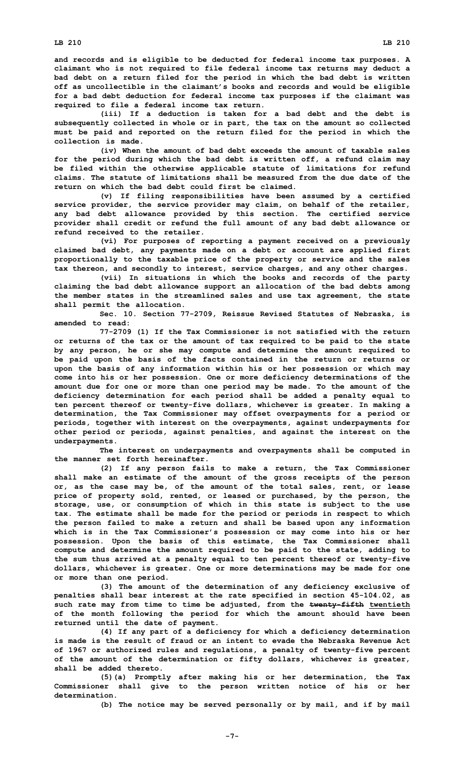**and records and is eligible to be deducted for federal income tax purposes. A claimant who is not required to file federal income tax returns may deduct <sup>a</sup> bad debt on <sup>a</sup> return filed for the period in which the bad debt is written off as uncollectible in the claimant's books and records and would be eligible for <sup>a</sup> bad debt deduction for federal income tax purposes if the claimant was required to file <sup>a</sup> federal income tax return.**

**(iii) If <sup>a</sup> deduction is taken for <sup>a</sup> bad debt and the debt is subsequently collected in whole or in part, the tax on the amount so collected must be paid and reported on the return filed for the period in which the collection is made.**

**(iv) When the amount of bad debt exceeds the amount of taxable sales for the period during which the bad debt is written off, <sup>a</sup> refund claim may be filed within the otherwise applicable statute of limitations for refund claims. The statute of limitations shall be measured from the due date of the return on which the bad debt could first be claimed.**

**(v) If filing responsibilities have been assumed by <sup>a</sup> certified service provider, the service provider may claim, on behalf of the retailer, any bad debt allowance provided by this section. The certified service provider shall credit or refund the full amount of any bad debt allowance or refund received to the retailer.**

**(vi) For purposes of reporting <sup>a</sup> payment received on <sup>a</sup> previously claimed bad debt, any payments made on <sup>a</sup> debt or account are applied first proportionally to the taxable price of the property or service and the sales tax thereon, and secondly to interest, service charges, and any other charges.**

**(vii) In situations in which the books and records of the party claiming the bad debt allowance support an allocation of the bad debts among the member states in the streamlined sales and use tax agreement, the state shall permit the allocation.**

**Sec. 10. Section 77-2709, Reissue Revised Statutes of Nebraska, is amended to read:**

**77-2709 (1) If the Tax Commissioner is not satisfied with the return or returns of the tax or the amount of tax required to be paid to the state by any person, he or she may compute and determine the amount required to be paid upon the basis of the facts contained in the return or returns or upon the basis of any information within his or her possession or which may come into his or her possession. One or more deficiency determinations of the amount due for one or more than one period may be made. To the amount of the deficiency determination for each period shall be added <sup>a</sup> penalty equal to ten percent thereof or twenty-five dollars, whichever is greater. In making <sup>a</sup> determination, the Tax Commissioner may offset overpayments for <sup>a</sup> period or periods, together with interest on the overpayments, against underpayments for other period or periods, against penalties, and against the interest on the underpayments.**

**The interest on underpayments and overpayments shall be computed in the manner set forth hereinafter.**

**(2) If any person fails to make <sup>a</sup> return, the Tax Commissioner shall make an estimate of the amount of the gross receipts of the person or, as the case may be, of the amount of the total sales, rent, or lease price of property sold, rented, or leased or purchased, by the person, the storage, use, or consumption of which in this state is subject to the use tax. The estimate shall be made for the period or periods in respect to which the person failed to make <sup>a</sup> return and shall be based upon any information which is in the Tax Commissioner's possession or may come into his or her possession. Upon the basis of this estimate, the Tax Commissioner shall compute and determine the amount required to be paid to the state, adding to the sum thus arrived at <sup>a</sup> penalty equal to ten percent thereof or twenty-five dollars, whichever is greater. One or more determinations may be made for one or more than one period.**

**(3) The amount of the determination of any deficiency exclusive of penalties shall bear interest at the rate specified in section 45-104.02, as such rate may from time to time be adjusted, from the twenty-fifth twentieth of the month following the period for which the amount should have been returned until the date of payment.**

**(4) If any part of <sup>a</sup> deficiency for which <sup>a</sup> deficiency determination is made is the result of fraud or an intent to evade the Nebraska Revenue Act of 1967 or authorized rules and regulations, <sup>a</sup> penalty of twenty-five percent of the amount of the determination or fifty dollars, whichever is greater, shall be added thereto.**

**(5)(a) Promptly after making his or her determination, the Tax Commissioner shall give to the person written notice of his or her determination.**

**(b) The notice may be served personally or by mail, and if by mail**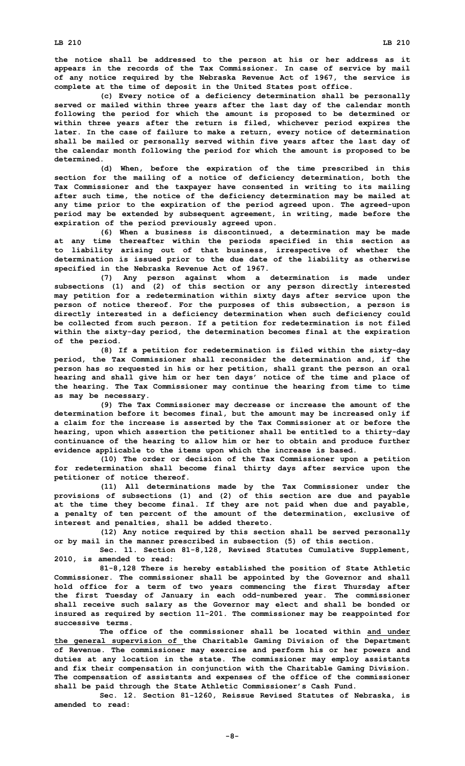**(c) Every notice of <sup>a</sup> deficiency determination shall be personally served or mailed within three years after the last day of the calendar month following the period for which the amount is proposed to be determined or within three years after the return is filed, whichever period expires the later. In the case of failure to make <sup>a</sup> return, every notice of determination shall be mailed or personally served within five years after the last day of the calendar month following the period for which the amount is proposed to be determined.**

**(d) When, before the expiration of the time prescribed in this section for the mailing of <sup>a</sup> notice of deficiency determination, both the Tax Commissioner and the taxpayer have consented in writing to its mailing after such time, the notice of the deficiency determination may be mailed at any time prior to the expiration of the period agreed upon. The agreed-upon period may be extended by subsequent agreement, in writing, made before the expiration of the period previously agreed upon.**

**(6) When <sup>a</sup> business is discontinued, <sup>a</sup> determination may be made at any time thereafter within the periods specified in this section as to liability arising out of that business, irrespective of whether the determination is issued prior to the due date of the liability as otherwise specified in the Nebraska Revenue Act of 1967.**

**(7) Any person against whom <sup>a</sup> determination is made under subsections (1) and (2) of this section or any person directly interested may petition for <sup>a</sup> redetermination within sixty days after service upon the person of notice thereof. For the purposes of this subsection, <sup>a</sup> person is directly interested in <sup>a</sup> deficiency determination when such deficiency could be collected from such person. If <sup>a</sup> petition for redetermination is not filed within the sixty-day period, the determination becomes final at the expiration of the period.**

**(8) If <sup>a</sup> petition for redetermination is filed within the sixty-day period, the Tax Commissioner shall reconsider the determination and, if the person has so requested in his or her petition, shall grant the person an oral hearing and shall give him or her ten days' notice of the time and place of the hearing. The Tax Commissioner may continue the hearing from time to time as may be necessary.**

**(9) The Tax Commissioner may decrease or increase the amount of the determination before it becomes final, but the amount may be increased only if <sup>a</sup> claim for the increase is asserted by the Tax Commissioner at or before the hearing, upon which assertion the petitioner shall be entitled to <sup>a</sup> thirty-day continuance of the hearing to allow him or her to obtain and produce further evidence applicable to the items upon which the increase is based.**

**(10) The order or decision of the Tax Commissioner upon <sup>a</sup> petition for redetermination shall become final thirty days after service upon the petitioner of notice thereof.**

**(11) All determinations made by the Tax Commissioner under the provisions of subsections (1) and (2) of this section are due and payable at the time they become final. If they are not paid when due and payable, <sup>a</sup> penalty of ten percent of the amount of the determination, exclusive of interest and penalties, shall be added thereto.**

**(12) Any notice required by this section shall be served personally or by mail in the manner prescribed in subsection (5) of this section.**

**Sec. 11. Section 81-8,128, Revised Statutes Cumulative Supplement, 2010, is amended to read:**

**81-8,128 There is hereby established the position of State Athletic Commissioner. The commissioner shall be appointed by the Governor and shall hold office for <sup>a</sup> term of two years commencing the first Thursday after the first Tuesday of January in each odd-numbered year. The commissioner shall receive such salary as the Governor may elect and shall be bonded or insured as required by section 11-201. The commissioner may be reappointed for successive terms.**

**The office of the commissioner shall be located within and under the general supervision of the Charitable Gaming Division of the Department of Revenue. The commissioner may exercise and perform his or her powers and duties at any location in the state. The commissioner may employ assistants and fix their compensation in conjunction with the Charitable Gaming Division. The compensation of assistants and expenses of the office of the commissioner shall be paid through the State Athletic Commissioner's Cash Fund.**

**Sec. 12. Section 81-1260, Reissue Revised Statutes of Nebraska, is amended to read:**